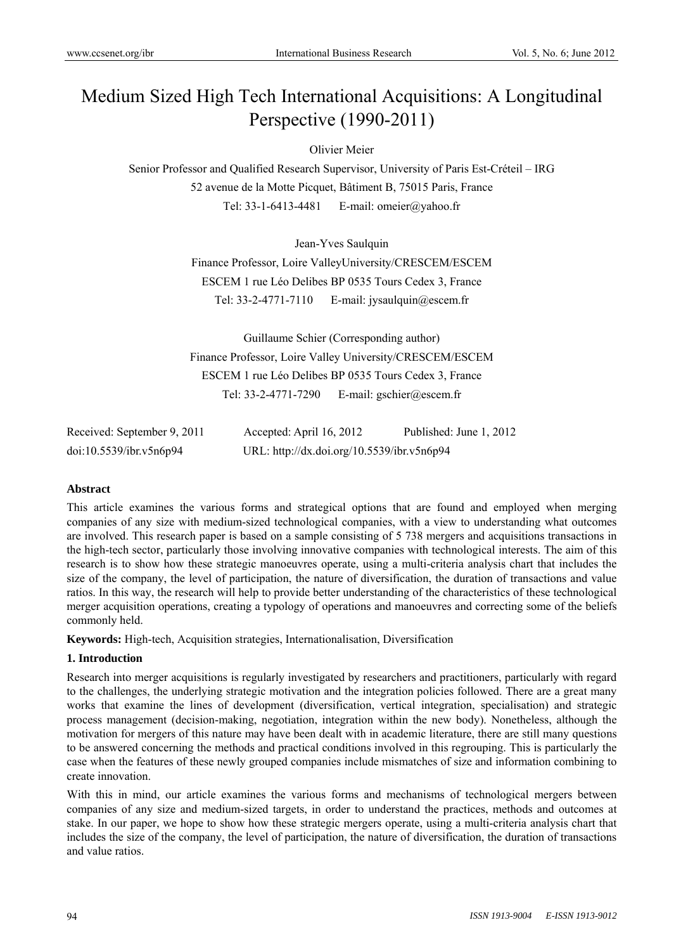# Medium Sized High Tech International Acquisitions: A Longitudinal Perspective (1990-2011)

Olivier Meier

Senior Professor and Qualified Research Supervisor, University of Paris Est-Créteil – IRG 52 avenue de la Motte Picquet, Bâtiment B, 75015 Paris, France Tel: 33-1-6413-4481 E-mail: omeier@yahoo.fr

> Jean-Yves Saulquin Finance Professor, Loire ValleyUniversity/CRESCEM/ESCEM ESCEM 1 rue Léo Delibes BP 0535 Tours Cedex 3, France Tel: 33-2-4771-7110 E-mail: jysaulquin@escem.fr

> Guillaume Schier (Corresponding author) Finance Professor, Loire Valley University/CRESCEM/ESCEM ESCEM 1 rue Léo Delibes BP 0535 Tours Cedex 3, France Tel: 33-2-4771-7290 E-mail: gschier@escem.fr

| Received: September 9, 2011 | Accepted: April 16, 2012                   | Published: June 1, 2012 |
|-----------------------------|--------------------------------------------|-------------------------|
| doi:10.5539/ibr.v5n6p94     | URL: http://dx.doi.org/10.5539/ibr.v5n6p94 |                         |

### **Abstract**

This article examines the various forms and strategical options that are found and employed when merging companies of any size with medium-sized technological companies, with a view to understanding what outcomes are involved. This research paper is based on a sample consisting of 5 738 mergers and acquisitions transactions in the high-tech sector, particularly those involving innovative companies with technological interests. The aim of this research is to show how these strategic manoeuvres operate, using a multi-criteria analysis chart that includes the size of the company, the level of participation, the nature of diversification, the duration of transactions and value ratios. In this way, the research will help to provide better understanding of the characteristics of these technological merger acquisition operations, creating a typology of operations and manoeuvres and correcting some of the beliefs commonly held.

**Keywords:** High-tech, Acquisition strategies, Internationalisation, Diversification

#### **1. Introduction**

Research into merger acquisitions is regularly investigated by researchers and practitioners, particularly with regard to the challenges, the underlying strategic motivation and the integration policies followed. There are a great many works that examine the lines of development (diversification, vertical integration, specialisation) and strategic process management (decision-making, negotiation, integration within the new body). Nonetheless, although the motivation for mergers of this nature may have been dealt with in academic literature, there are still many questions to be answered concerning the methods and practical conditions involved in this regrouping. This is particularly the case when the features of these newly grouped companies include mismatches of size and information combining to create innovation.

With this in mind, our article examines the various forms and mechanisms of technological mergers between companies of any size and medium-sized targets, in order to understand the practices, methods and outcomes at stake. In our paper, we hope to show how these strategic mergers operate, using a multi-criteria analysis chart that includes the size of the company, the level of participation, the nature of diversification, the duration of transactions and value ratios.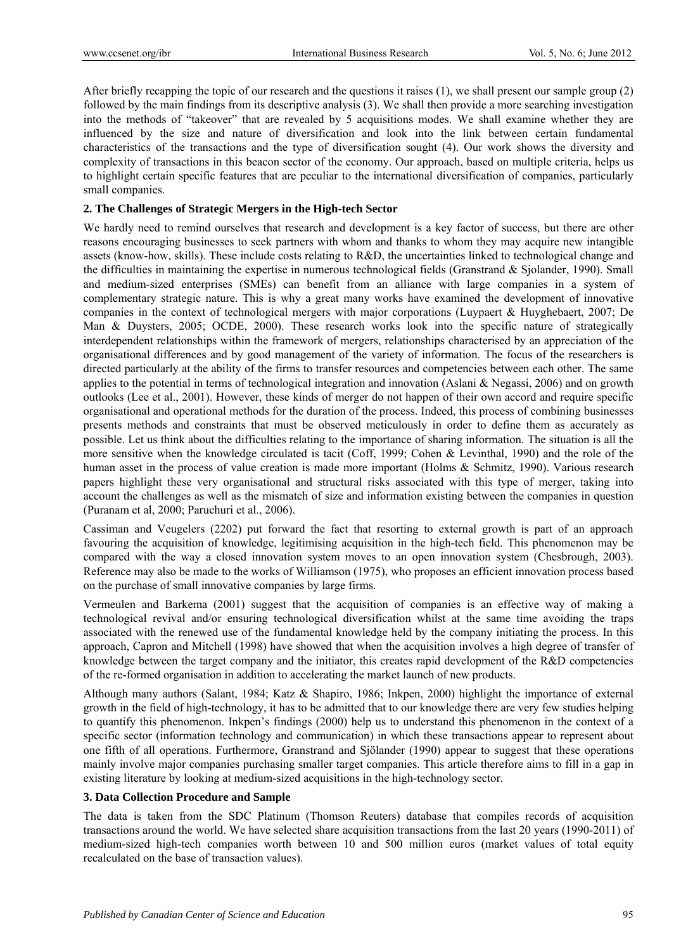After briefly recapping the topic of our research and the questions it raises (1), we shall present our sample group (2) followed by the main findings from its descriptive analysis (3). We shall then provide a more searching investigation into the methods of "takeover" that are revealed by 5 acquisitions modes. We shall examine whether they are influenced by the size and nature of diversification and look into the link between certain fundamental characteristics of the transactions and the type of diversification sought (4). Our work shows the diversity and complexity of transactions in this beacon sector of the economy. Our approach, based on multiple criteria, helps us to highlight certain specific features that are peculiar to the international diversification of companies, particularly small companies.

#### **2. The Challenges of Strategic Mergers in the High-tech Sector**

We hardly need to remind ourselves that research and development is a key factor of success, but there are other reasons encouraging businesses to seek partners with whom and thanks to whom they may acquire new intangible assets (know-how, skills). These include costs relating to R&D, the uncertainties linked to technological change and the difficulties in maintaining the expertise in numerous technological fields (Granstrand & Sjolander, 1990). Small and medium-sized enterprises (SMEs) can benefit from an alliance with large companies in a system of complementary strategic nature. This is why a great many works have examined the development of innovative companies in the context of technological mergers with major corporations (Luypaert & Huyghebaert, 2007; De Man & Duysters, 2005; OCDE, 2000). These research works look into the specific nature of strategically interdependent relationships within the framework of mergers, relationships characterised by an appreciation of the organisational differences and by good management of the variety of information. The focus of the researchers is directed particularly at the ability of the firms to transfer resources and competencies between each other. The same applies to the potential in terms of technological integration and innovation (Aslani  $\&$  Negassi, 2006) and on growth outlooks (Lee et al., 2001). However, these kinds of merger do not happen of their own accord and require specific organisational and operational methods for the duration of the process. Indeed, this process of combining businesses presents methods and constraints that must be observed meticulously in order to define them as accurately as possible. Let us think about the difficulties relating to the importance of sharing information. The situation is all the more sensitive when the knowledge circulated is tacit (Coff, 1999; Cohen & Levinthal, 1990) and the role of the human asset in the process of value creation is made more important (Holms & Schmitz, 1990). Various research papers highlight these very organisational and structural risks associated with this type of merger, taking into account the challenges as well as the mismatch of size and information existing between the companies in question (Puranam et al, 2000; Paruchuri et al., 2006).

Cassiman and Veugelers (2202) put forward the fact that resorting to external growth is part of an approach favouring the acquisition of knowledge, legitimising acquisition in the high-tech field. This phenomenon may be compared with the way a closed innovation system moves to an open innovation system (Chesbrough, 2003). Reference may also be made to the works of Williamson (1975), who proposes an efficient innovation process based on the purchase of small innovative companies by large firms.

Vermeulen and Barkema (2001) suggest that the acquisition of companies is an effective way of making a technological revival and/or ensuring technological diversification whilst at the same time avoiding the traps associated with the renewed use of the fundamental knowledge held by the company initiating the process. In this approach, Capron and Mitchell (1998) have showed that when the acquisition involves a high degree of transfer of knowledge between the target company and the initiator, this creates rapid development of the R&D competencies of the re-formed organisation in addition to accelerating the market launch of new products.

Although many authors (Salant, 1984; Katz & Shapiro, 1986; Inkpen, 2000) highlight the importance of external growth in the field of high-technology, it has to be admitted that to our knowledge there are very few studies helping to quantify this phenomenon. Inkpen's findings (2000) help us to understand this phenomenon in the context of a specific sector (information technology and communication) in which these transactions appear to represent about one fifth of all operations. Furthermore, Granstrand and Sjölander (1990) appear to suggest that these operations mainly involve major companies purchasing smaller target companies. This article therefore aims to fill in a gap in existing literature by looking at medium-sized acquisitions in the high-technology sector.

#### **3. Data Collection Procedure and Sample**

The data is taken from the SDC Platinum (Thomson Reuters) database that compiles records of acquisition transactions around the world. We have selected share acquisition transactions from the last 20 years (1990-2011) of medium-sized high-tech companies worth between 10 and 500 million euros (market values of total equity recalculated on the base of transaction values).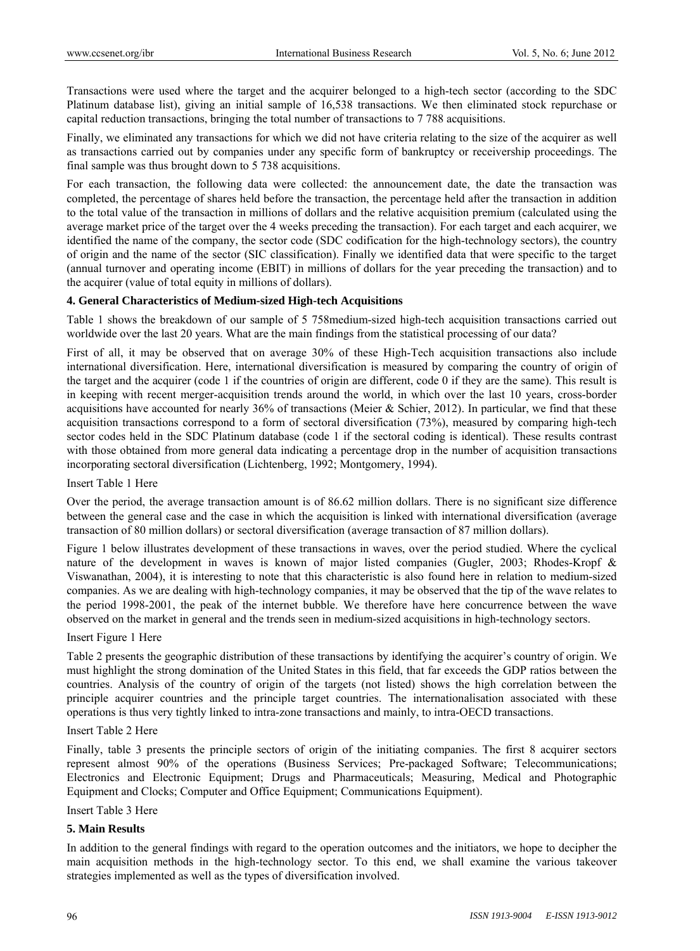Transactions were used where the target and the acquirer belonged to a high-tech sector (according to the SDC Platinum database list), giving an initial sample of 16,538 transactions. We then eliminated stock repurchase or capital reduction transactions, bringing the total number of transactions to 7 788 acquisitions.

Finally, we eliminated any transactions for which we did not have criteria relating to the size of the acquirer as well as transactions carried out by companies under any specific form of bankruptcy or receivership proceedings. The final sample was thus brought down to 5 738 acquisitions.

For each transaction, the following data were collected: the announcement date, the date the transaction was completed, the percentage of shares held before the transaction, the percentage held after the transaction in addition to the total value of the transaction in millions of dollars and the relative acquisition premium (calculated using the average market price of the target over the 4 weeks preceding the transaction). For each target and each acquirer, we identified the name of the company, the sector code (SDC codification for the high-technology sectors), the country of origin and the name of the sector (SIC classification). Finally we identified data that were specific to the target (annual turnover and operating income (EBIT) in millions of dollars for the year preceding the transaction) and to the acquirer (value of total equity in millions of dollars).

#### **4. General Characteristics of Medium-sized High-tech Acquisitions**

Table 1 shows the breakdown of our sample of 5 758medium-sized high-tech acquisition transactions carried out worldwide over the last 20 years. What are the main findings from the statistical processing of our data?

First of all, it may be observed that on average 30% of these High-Tech acquisition transactions also include international diversification. Here, international diversification is measured by comparing the country of origin of the target and the acquirer (code 1 if the countries of origin are different, code 0 if they are the same). This result is in keeping with recent merger-acquisition trends around the world, in which over the last 10 years, cross-border acquisitions have accounted for nearly 36% of transactions (Meier & Schier, 2012). In particular, we find that these acquisition transactions correspond to a form of sectoral diversification (73%), measured by comparing high-tech sector codes held in the SDC Platinum database (code 1 if the sectoral coding is identical). These results contrast with those obtained from more general data indicating a percentage drop in the number of acquisition transactions incorporating sectoral diversification (Lichtenberg, 1992; Montgomery, 1994).

#### Insert Table 1 Here

Over the period, the average transaction amount is of 86.62 million dollars. There is no significant size difference between the general case and the case in which the acquisition is linked with international diversification (average transaction of 80 million dollars) or sectoral diversification (average transaction of 87 million dollars).

Figure 1 below illustrates development of these transactions in waves, over the period studied. Where the cyclical nature of the development in waves is known of major listed companies (Gugler, 2003; Rhodes-Kropf & Viswanathan, 2004), it is interesting to note that this characteristic is also found here in relation to medium-sized companies. As we are dealing with high-technology companies, it may be observed that the tip of the wave relates to the period 1998-2001, the peak of the internet bubble. We therefore have here concurrence between the wave observed on the market in general and the trends seen in medium-sized acquisitions in high-technology sectors.

#### Insert Figure 1 Here

Table 2 presents the geographic distribution of these transactions by identifying the acquirer's country of origin. We must highlight the strong domination of the United States in this field, that far exceeds the GDP ratios between the countries. Analysis of the country of origin of the targets (not listed) shows the high correlation between the principle acquirer countries and the principle target countries. The internationalisation associated with these operations is thus very tightly linked to intra-zone transactions and mainly, to intra-OECD transactions.

#### Insert Table 2 Here

Finally, table 3 presents the principle sectors of origin of the initiating companies. The first 8 acquirer sectors represent almost 90% of the operations (Business Services; Pre-packaged Software; Telecommunications; Electronics and Electronic Equipment; Drugs and Pharmaceuticals; Measuring, Medical and Photographic Equipment and Clocks; Computer and Office Equipment; Communications Equipment).

#### Insert Table 3 Here

#### **5. Main Results**

In addition to the general findings with regard to the operation outcomes and the initiators, we hope to decipher the main acquisition methods in the high-technology sector. To this end, we shall examine the various takeover strategies implemented as well as the types of diversification involved.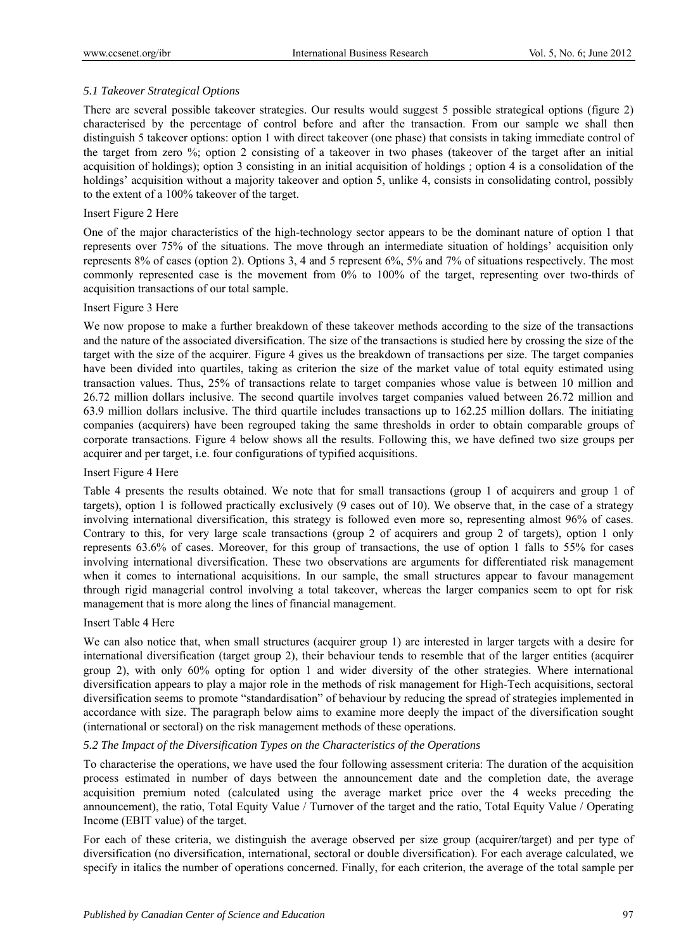#### *5.1 Takeover Strategical Options*

There are several possible takeover strategies. Our results would suggest 5 possible strategical options (figure 2) characterised by the percentage of control before and after the transaction. From our sample we shall then distinguish 5 takeover options: option 1 with direct takeover (one phase) that consists in taking immediate control of the target from zero %; option 2 consisting of a takeover in two phases (takeover of the target after an initial acquisition of holdings); option 3 consisting in an initial acquisition of holdings ; option 4 is a consolidation of the holdings' acquisition without a majority takeover and option 5, unlike 4, consists in consolidating control, possibly to the extent of a 100% takeover of the target.

#### Insert Figure 2 Here

One of the major characteristics of the high-technology sector appears to be the dominant nature of option 1 that represents over 75% of the situations. The move through an intermediate situation of holdings' acquisition only represents 8% of cases (option 2). Options 3, 4 and 5 represent 6%, 5% and 7% of situations respectively. The most commonly represented case is the movement from 0% to 100% of the target, representing over two-thirds of acquisition transactions of our total sample.

#### Insert Figure 3 Here

We now propose to make a further breakdown of these takeover methods according to the size of the transactions and the nature of the associated diversification. The size of the transactions is studied here by crossing the size of the target with the size of the acquirer. Figure 4 gives us the breakdown of transactions per size. The target companies have been divided into quartiles, taking as criterion the size of the market value of total equity estimated using transaction values. Thus, 25% of transactions relate to target companies whose value is between 10 million and 26.72 million dollars inclusive. The second quartile involves target companies valued between 26.72 million and 63.9 million dollars inclusive. The third quartile includes transactions up to 162.25 million dollars. The initiating companies (acquirers) have been regrouped taking the same thresholds in order to obtain comparable groups of corporate transactions. Figure 4 below shows all the results. Following this, we have defined two size groups per acquirer and per target, i.e. four configurations of typified acquisitions.

#### Insert Figure 4 Here

Table 4 presents the results obtained. We note that for small transactions (group 1 of acquirers and group 1 of targets), option 1 is followed practically exclusively (9 cases out of 10). We observe that, in the case of a strategy involving international diversification, this strategy is followed even more so, representing almost 96% of cases. Contrary to this, for very large scale transactions (group 2 of acquirers and group 2 of targets), option 1 only represents 63.6% of cases. Moreover, for this group of transactions, the use of option 1 falls to 55% for cases involving international diversification. These two observations are arguments for differentiated risk management when it comes to international acquisitions. In our sample, the small structures appear to favour management through rigid managerial control involving a total takeover, whereas the larger companies seem to opt for risk management that is more along the lines of financial management.

#### Insert Table 4 Here

We can also notice that, when small structures (acquirer group 1) are interested in larger targets with a desire for international diversification (target group 2), their behaviour tends to resemble that of the larger entities (acquirer group 2), with only 60% opting for option 1 and wider diversity of the other strategies. Where international diversification appears to play a major role in the methods of risk management for High-Tech acquisitions, sectoral diversification seems to promote "standardisation" of behaviour by reducing the spread of strategies implemented in accordance with size. The paragraph below aims to examine more deeply the impact of the diversification sought (international or sectoral) on the risk management methods of these operations.

#### *5.2 The Impact of the Diversification Types on the Characteristics of the Operations*

To characterise the operations, we have used the four following assessment criteria: The duration of the acquisition process estimated in number of days between the announcement date and the completion date, the average acquisition premium noted (calculated using the average market price over the 4 weeks preceding the announcement), the ratio, Total Equity Value / Turnover of the target and the ratio, Total Equity Value / Operating Income (EBIT value) of the target.

For each of these criteria, we distinguish the average observed per size group (acquirer/target) and per type of diversification (no diversification, international, sectoral or double diversification). For each average calculated, we specify in italics the number of operations concerned. Finally, for each criterion, the average of the total sample per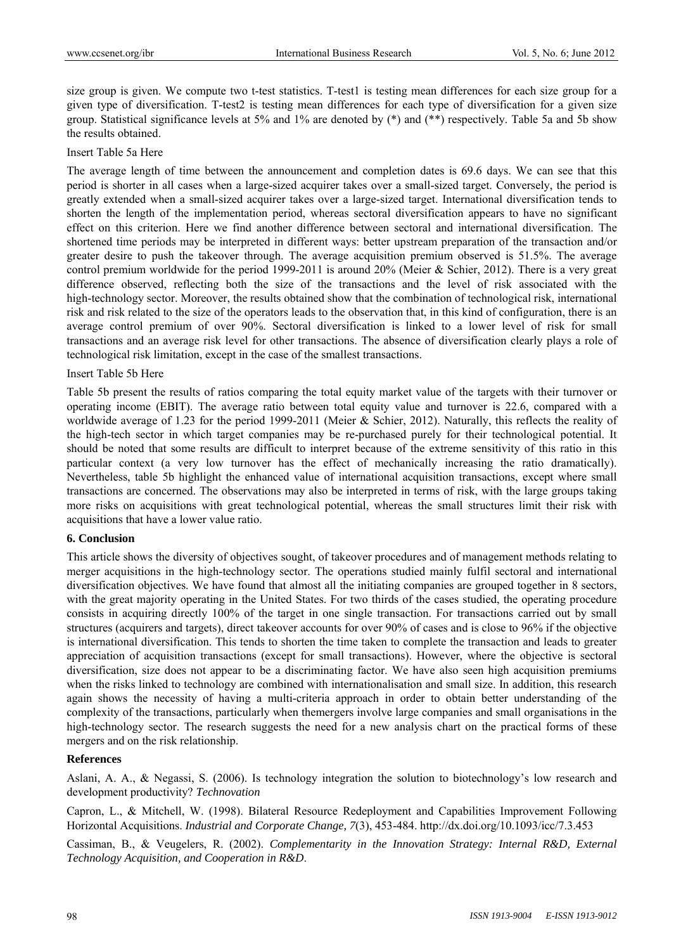size group is given. We compute two t-test statistics. T-test1 is testing mean differences for each size group for a given type of diversification. T-test2 is testing mean differences for each type of diversification for a given size group. Statistical significance levels at 5% and 1% are denoted by (\*) and (\*\*) respectively. Table 5a and 5b show the results obtained.

Insert Table 5a Here

The average length of time between the announcement and completion dates is 69.6 days. We can see that this period is shorter in all cases when a large-sized acquirer takes over a small-sized target. Conversely, the period is greatly extended when a small-sized acquirer takes over a large-sized target. International diversification tends to shorten the length of the implementation period, whereas sectoral diversification appears to have no significant effect on this criterion. Here we find another difference between sectoral and international diversification. The shortened time periods may be interpreted in different ways: better upstream preparation of the transaction and/or greater desire to push the takeover through. The average acquisition premium observed is 51.5%. The average control premium worldwide for the period 1999-2011 is around 20% (Meier & Schier, 2012). There is a very great difference observed, reflecting both the size of the transactions and the level of risk associated with the high-technology sector. Moreover, the results obtained show that the combination of technological risk, international risk and risk related to the size of the operators leads to the observation that, in this kind of configuration, there is an average control premium of over 90%. Sectoral diversification is linked to a lower level of risk for small transactions and an average risk level for other transactions. The absence of diversification clearly plays a role of technological risk limitation, except in the case of the smallest transactions.

#### Insert Table 5b Here

Table 5b present the results of ratios comparing the total equity market value of the targets with their turnover or operating income (EBIT). The average ratio between total equity value and turnover is 22.6, compared with a worldwide average of 1.23 for the period 1999-2011 (Meier & Schier, 2012). Naturally, this reflects the reality of the high-tech sector in which target companies may be re-purchased purely for their technological potential. It should be noted that some results are difficult to interpret because of the extreme sensitivity of this ratio in this particular context (a very low turnover has the effect of mechanically increasing the ratio dramatically). Nevertheless, table 5b highlight the enhanced value of international acquisition transactions, except where small transactions are concerned. The observations may also be interpreted in terms of risk, with the large groups taking more risks on acquisitions with great technological potential, whereas the small structures limit their risk with acquisitions that have a lower value ratio.

#### **6. Conclusion**

This article shows the diversity of objectives sought, of takeover procedures and of management methods relating to merger acquisitions in the high-technology sector. The operations studied mainly fulfil sectoral and international diversification objectives. We have found that almost all the initiating companies are grouped together in 8 sectors, with the great majority operating in the United States. For two thirds of the cases studied, the operating procedure consists in acquiring directly 100% of the target in one single transaction. For transactions carried out by small structures (acquirers and targets), direct takeover accounts for over 90% of cases and is close to 96% if the objective is international diversification. This tends to shorten the time taken to complete the transaction and leads to greater appreciation of acquisition transactions (except for small transactions). However, where the objective is sectoral diversification, size does not appear to be a discriminating factor. We have also seen high acquisition premiums when the risks linked to technology are combined with internationalisation and small size. In addition, this research again shows the necessity of having a multi-criteria approach in order to obtain better understanding of the complexity of the transactions, particularly when themergers involve large companies and small organisations in the high-technology sector. The research suggests the need for a new analysis chart on the practical forms of these mergers and on the risk relationship.

#### **References**

Aslani, A. A., & Negassi, S. (2006). Is technology integration the solution to biotechnology's low research and development productivity? *Technovation*

Capron, L., & Mitchell, W. (1998). Bilateral Resource Redeployment and Capabilities Improvement Following Horizontal Acquisitions. *Industrial and Corporate Change, 7*(3), 453-484. http://dx.doi.org/10.1093/icc/7.3.453

Cassiman, B., & Veugelers, R. (2002). *Complementarity in the Innovation Strategy: Internal R&D, External Technology Acquisition, and Cooperation in R&D*.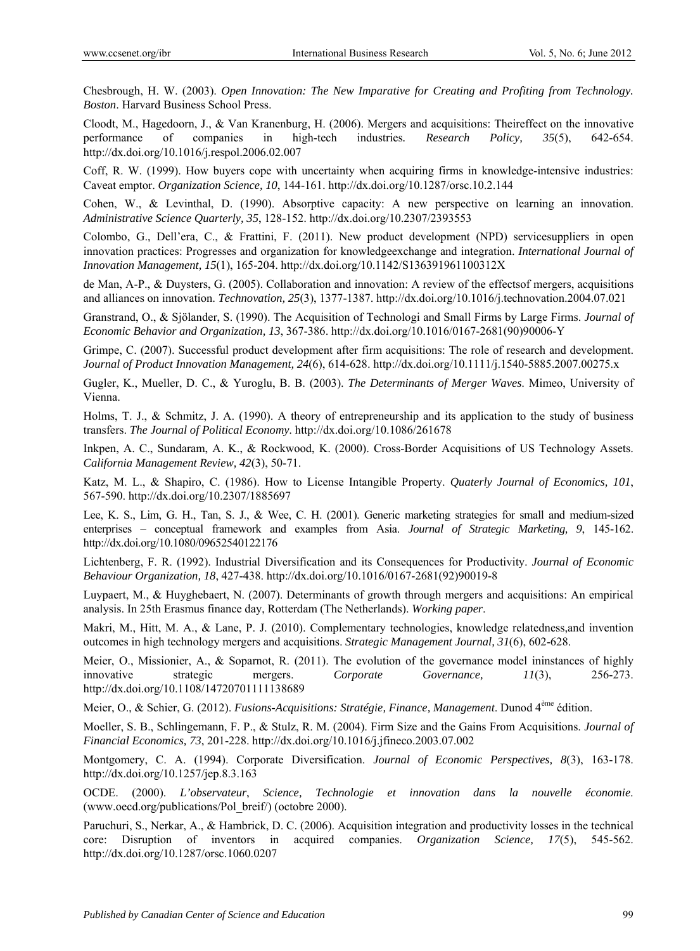Chesbrough, H. W. (2003). *Open Innovation: The New Imparative for Creating and Profiting from Technology. Boston*. Harvard Business School Press.

Cloodt, M., Hagedoorn, J., & Van Kranenburg, H. (2006). Mergers and acquisitions: Theireffect on the innovative performance of companies in high-tech industries*. Research Policy, 35*(5), 642-654. http://dx.doi.org/10.1016/j.respol.2006.02.007

Coff, R. W. (1999). How buyers cope with uncertainty when acquiring firms in knowledge-intensive industries: Caveat emptor. *Organization Science, 10*, 144-161. http://dx.doi.org/10.1287/orsc.10.2.144

Cohen, W., & Levinthal, D. (1990). Absorptive capacity: A new perspective on learning an innovation. *Administrative Science Quarterly, 35*, 128-152. http://dx.doi.org/10.2307/2393553

Colombo, G., Dell'era, C., & Frattini, F. (2011). New product development (NPD) servicesuppliers in open innovation practices: Progresses and organization for knowledgeexchange and integration. *International Journal of Innovation Management, 15*(1), 165-204. http://dx.doi.org/10.1142/S136391961100312X

de Man, A-P., & Duysters, G. (2005). Collaboration and innovation: A review of the effectsof mergers, acquisitions and alliances on innovation. *Technovation, 25*(3), 1377-1387. http://dx.doi.org/10.1016/j.technovation.2004.07.021

Granstrand, O., & Sjölander, S. (1990). The Acquisition of Technologi and Small Firms by Large Firms. *Journal of Economic Behavior and Organization, 13*, 367-386. http://dx.doi.org/10.1016/0167-2681(90)90006-Y

Grimpe, C. (2007). Successful product development after firm acquisitions: The role of research and development. *Journal of Product Innovation Management, 24*(6), 614-628. http://dx.doi.org/10.1111/j.1540-5885.2007.00275.x

Gugler, K., Mueller, D. C., & Yuroglu, B. B. (2003). *The Determinants of Merger Waves*. Mimeo, University of Vienna.

Holms, T. J., & Schmitz, J. A. (1990). A theory of entrepreneurship and its application to the study of business transfers. *The Journal of Political Economy*. http://dx.doi.org/10.1086/261678

Inkpen, A. C., Sundaram, A. K., & Rockwood, K. (2000). Cross-Border Acquisitions of US Technology Assets. *California Management Review, 42*(3), 50-71.

Katz, M. L., & Shapiro, C. (1986). How to License Intangible Property. *Quaterly Journal of Economics, 101*, 567-590. http://dx.doi.org/10.2307/1885697

Lee, K. S., Lim, G. H., Tan, S. J., & Wee, C. H. (2001). Generic marketing strategies for small and medium-sized enterprises – conceptual framework and examples from Asia. *Journal of Strategic Marketing, 9*, 145-162. http://dx.doi.org/10.1080/09652540122176

Lichtenberg, F. R. (1992). Industrial Diversification and its Consequences for Productivity. *Journal of Economic Behaviour Organization, 18*, 427-438. http://dx.doi.org/10.1016/0167-2681(92)90019-8

Luypaert, M., & Huyghebaert, N. (2007). Determinants of growth through mergers and acquisitions: An empirical analysis. In 25th Erasmus finance day, Rotterdam (The Netherlands). *Working paper*.

Makri, M., Hitt, M. A., & Lane, P. J. (2010). Complementary technologies, knowledge relatedness,and invention outcomes in high technology mergers and acquisitions. *Strategic Management Journal, 31*(6), 602-628.

Meier, O., Missionier, A., & Soparnot, R. (2011). The evolution of the governance model ininstances of highly innovative strategic mergers. *Corporate Governance, 11*(3), 256-273. http://dx.doi.org/10.1108/14720701111138689

Meier, O., & Schier, G. (2012). *Fusions-Acquisitions: Stratégie, Finance, Management*. Dunod 4ème édition.

Moeller, S. B., Schlingemann, F. P., & Stulz, R. M. (2004). Firm Size and the Gains From Acquisitions. *Journal of Financial Economics, 73*, 201-228. http://dx.doi.org/10.1016/j.jfineco.2003.07.002

Montgomery, C. A. (1994). Corporate Diversification. *Journal of Economic Perspectives, 8*(3), 163-178. http://dx.doi.org/10.1257/jep.8.3.163

OCDE. (2000). *L'observateur*, *Science, Technologie et innovation dans la nouvelle économie*. (www.oecd.org/publications/Pol\_breif/) (octobre 2000).

Paruchuri, S., Nerkar, A., & Hambrick, D. C. (2006). Acquisition integration and productivity losses in the technical core: Disruption of inventors in acquired companies. *Organization Science, 17*(5), 545-562. http://dx.doi.org/10.1287/orsc.1060.0207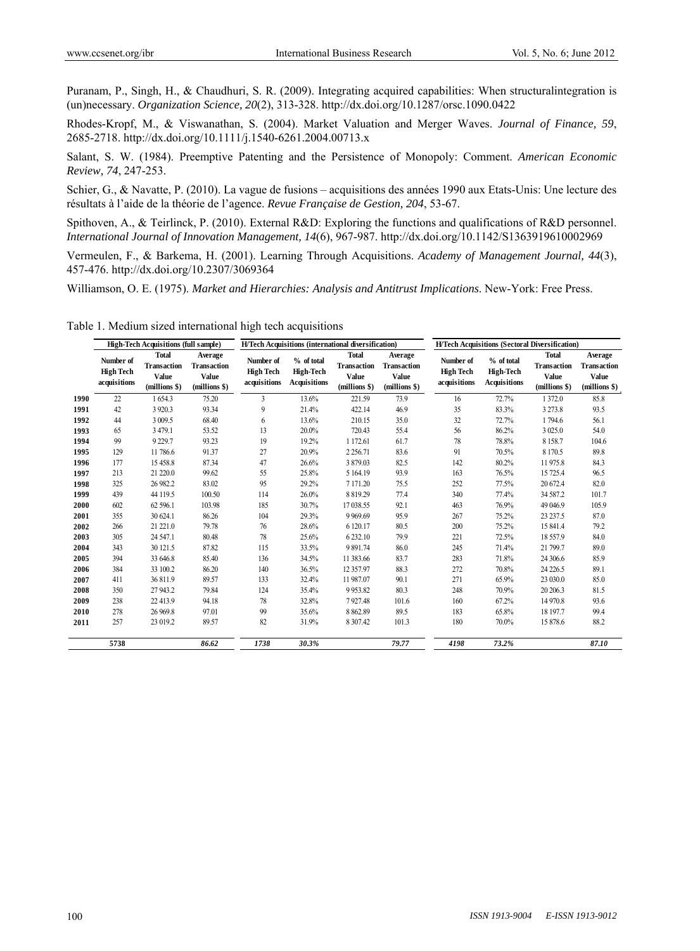Puranam, P., Singh, H., & Chaudhuri, S. R. (2009). Integrating acquired capabilities: When structuralintegration is (un)necessary. *Organization Science, 20*(2), 313-328. http://dx.doi.org/10.1287/orsc.1090.0422

Rhodes-Kropf, M., & Viswanathan, S. (2004). Market Valuation and Merger Waves. *Journal of Finance, 59*, 2685-2718. http://dx.doi.org/10.1111/j.1540-6261.2004.00713.x

Salant, S. W. (1984). Preemptive Patenting and the Persistence of Monopoly: Comment. *American Economic Review, 74*, 247-253.

Schier, G., & Navatte, P. (2010). La vague de fusions – acquisitions des années 1990 aux Etats-Unis: Une lecture des résultats à l'aide de la théorie de l'agence. *Revue Française de Gestion, 204*, 53-67.

Spithoven, A., & Teirlinck, P. (2010). External R&D: Exploring the functions and qualifications of R&D personnel. *International Journal of Innovation Management, 14*(6), 967-987. http://dx.doi.org/10.1142/S1363919610002969

Vermeulen, F., & Barkema, H. (2001). Learning Through Acquisitions. *Academy of Management Journal, 44*(3), 457-476. http://dx.doi.org/10.2307/3069364

Williamson, O. E. (1975). *Market and Hierarchies: Analysis and Antitrust Implications*. New-York: Free Press.

Table 1. Medium sized international high tech acquisitions

|      |                                               | <b>High-Tech Acquisitions (full sample)</b>                         |                                                                |                                               | H/Tech Acquisitions (international diversification)   |                                                                     |                                                         | <b>H/Tech Acquisitions (Sectoral Diversification)</b> |                                                       |                                                                     |                                                                |  |
|------|-----------------------------------------------|---------------------------------------------------------------------|----------------------------------------------------------------|-----------------------------------------------|-------------------------------------------------------|---------------------------------------------------------------------|---------------------------------------------------------|-------------------------------------------------------|-------------------------------------------------------|---------------------------------------------------------------------|----------------------------------------------------------------|--|
|      | Number of<br><b>High Tech</b><br>acquisitions | <b>Total</b><br><b>Transaction</b><br><b>Value</b><br>(millions \$) | Average<br><b>Transaction</b><br><b>Value</b><br>(millions \$) | Number of<br><b>High Tech</b><br>acquisitions | % of total<br><b>High-Tech</b><br><b>Acquisitions</b> | <b>Total</b><br><b>Transaction</b><br><b>Value</b><br>(millions \$) | Average<br><b>Transaction</b><br>Value<br>(millions \$) | Number of<br><b>High Tech</b><br>acquisitions         | % of total<br><b>High-Tech</b><br><b>Acquisitions</b> | <b>Total</b><br><b>Transaction</b><br><b>Value</b><br>(millions \$) | Average<br><b>Transaction</b><br><b>Value</b><br>(millions \$) |  |
| 1990 | 22                                            | 1654.3                                                              | 75.20                                                          | 3                                             | 13.6%                                                 | 221.59                                                              | 73.9                                                    | 16                                                    | 72.7%                                                 | 1372.0                                                              | 85.8                                                           |  |
| 1991 | 42                                            | 3 9 20.3                                                            | 93.34                                                          | 9                                             | 21.4%                                                 | 422.14                                                              | 46.9                                                    | 35                                                    | 83.3%                                                 | 3 2 7 3 . 8                                                         | 93.5                                                           |  |
| 1992 | 44                                            | 3 009.5                                                             | 68.40                                                          | 6                                             | 13.6%                                                 | 210.15                                                              | 35.0                                                    | 32                                                    | 72.7%                                                 | 1794.6                                                              | 56.1                                                           |  |
| 1993 | 65                                            | 3 4 7 9 1                                                           | 53.52                                                          | 13                                            | 20.0%                                                 | 720.43                                                              | 55.4                                                    | 56                                                    | 86.2%                                                 | 3 0 25.0                                                            | 54.0                                                           |  |
| 1994 | 99                                            | 9 2 2 9 . 7                                                         | 93.23                                                          | 19                                            | 19.2%                                                 | 1 172.61                                                            | 61.7                                                    | 78                                                    | 78.8%                                                 | 8158.7                                                              | 104.6                                                          |  |
| 1995 | 129                                           | 11 786.6                                                            | 91.37                                                          | 27                                            | 20.9%                                                 | 2 2 5 6.71                                                          | 83.6                                                    | 91                                                    | 70.5%                                                 | 8 1 7 0 .5                                                          | 89.8                                                           |  |
| 1996 | 177                                           | 15 458.8                                                            | 87.34                                                          | 47                                            | 26.6%                                                 | 3 879.03                                                            | 82.5                                                    | 142                                                   | 80.2%                                                 | 11975.8                                                             | 84.3                                                           |  |
| 1997 | 213                                           | 21 220.0                                                            | 99.62                                                          | 55                                            | 25.8%                                                 | 5 164.19                                                            | 93.9                                                    | 163                                                   | 76.5%                                                 | 15 725.4                                                            | 96.5                                                           |  |
| 1998 | 325                                           | 26 982.2                                                            | 83.02                                                          | 95                                            | 29.2%                                                 | 7 171.20                                                            | 75.5                                                    | 252                                                   | 77.5%                                                 | 20 672.4                                                            | 82.0                                                           |  |
| 1999 | 439                                           | 44 119.5                                                            | 100.50                                                         | 114                                           | 26.0%                                                 | 8819.29                                                             | 77.4                                                    | 340                                                   | 77.4%                                                 | 34 587.2                                                            | 101.7                                                          |  |
| 2000 | 602                                           | 62 596.1                                                            | 103.98                                                         | 185                                           | 30.7%                                                 | 17 038.55                                                           | 92.1                                                    | 463                                                   | 76.9%                                                 | 49 046.9                                                            | 105.9                                                          |  |
| 2001 | 355                                           | 30 624.1                                                            | 86.26                                                          | 104                                           | 29.3%                                                 | 9 9 6 9.6 9                                                         | 95.9                                                    | 267                                                   | 75.2%                                                 | 23 23 7.5                                                           | 87.0                                                           |  |
| 2002 | 266                                           | 21 221.0                                                            | 79.78                                                          | 76                                            | 28.6%                                                 | 6 120.17                                                            | 80.5                                                    | 200                                                   | 75.2%                                                 | 15 841.4                                                            | 79.2                                                           |  |
| 2003 | 305                                           | 24 547.1                                                            | 80.48                                                          | 78                                            | 25.6%                                                 | 6 232.10                                                            | 79.9                                                    | 221                                                   | 72.5%                                                 | 18 557.9                                                            | 84.0                                                           |  |
| 2004 | 343                                           | 30 121.5                                                            | 87.82                                                          | 115                                           | 33.5%                                                 | 9 891.74                                                            | 86.0                                                    | 245                                                   | 71.4%                                                 | 21 799.7                                                            | 89.0                                                           |  |
| 2005 | 394                                           | 33 646.8                                                            | 85.40                                                          | 136                                           | 34.5%                                                 | 11 383.66                                                           | 83.7                                                    | 283                                                   | 71.8%                                                 | 24 306.6                                                            | 85.9                                                           |  |
| 2006 | 384                                           | 33 100.2                                                            | 86.20                                                          | 140                                           | 36.5%                                                 | 12 357.97                                                           | 88.3                                                    | 272                                                   | 70.8%                                                 | 24 226.5                                                            | 89.1                                                           |  |
| 2007 | 411                                           | 36 811.9                                                            | 89.57                                                          | 133                                           | 32.4%                                                 | 11 987.07                                                           | 90.1                                                    | 271                                                   | 65.9%                                                 | 23 030.0                                                            | 85.0                                                           |  |
| 2008 | 350                                           | 27 943.2                                                            | 79.84                                                          | 124                                           | 35.4%                                                 | 9953.82                                                             | 80.3                                                    | 248                                                   | 70.9%                                                 | 20 20 6.3                                                           | 81.5                                                           |  |
| 2009 | 238                                           | 22 413.9                                                            | 94.18                                                          | 78                                            | 32.8%                                                 | 7927.48                                                             | 101.6                                                   | 160                                                   | 67.2%                                                 | 14 970.8                                                            | 93.6                                                           |  |
| 2010 | 278                                           | 26 969.8                                                            | 97.01                                                          | 99                                            | 35.6%                                                 | 8 8 6 2.8 9                                                         | 89.5                                                    | 183                                                   | 65.8%                                                 | 18 197.7                                                            | 99.4                                                           |  |
| 2011 | 257                                           | 23 019.2                                                            | 89.57                                                          | 82                                            | 31.9%                                                 | 8 307.42                                                            | 101.3                                                   | 180                                                   | 70.0%                                                 | 15 878.6                                                            | 88.2                                                           |  |
|      | 5738                                          |                                                                     | 86.62                                                          | 1738                                          | 30.3%                                                 |                                                                     | 79.77                                                   | 4198                                                  | 73.2%                                                 |                                                                     | 87.10                                                          |  |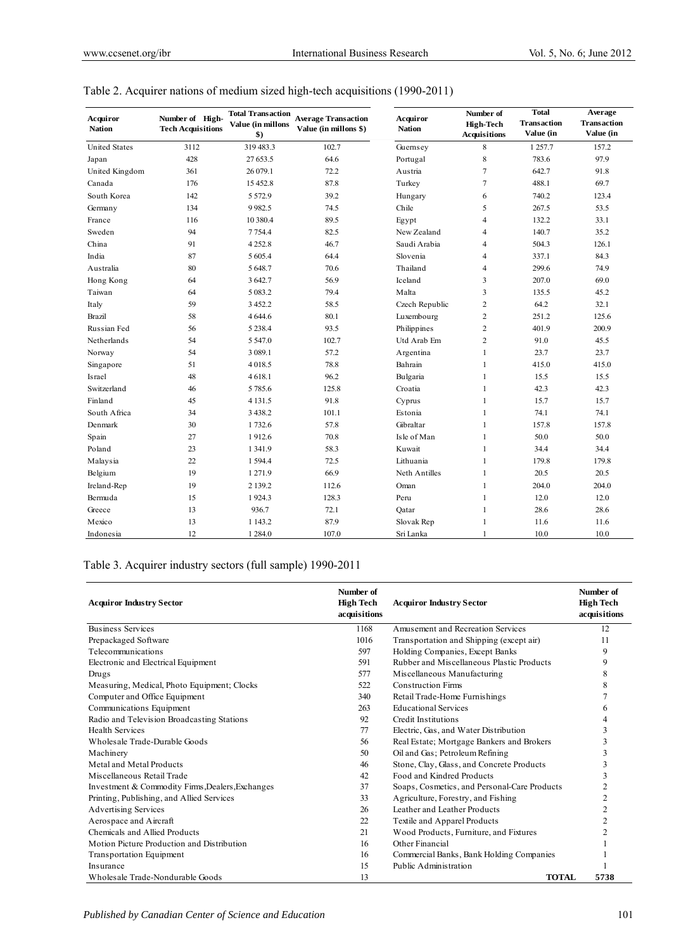| Acquiror<br><b>Nation</b> | Number of High-<br><b>Tech Acquisitions</b> | <b>Total Transaction</b><br>Value (in millons<br>\$) | <b>Average Transaction</b><br>Value (in millons \$) | Acquiror<br><b>Nation</b> | Number of<br><b>High-Tech</b><br><b>Acquisitions</b> | <b>Total</b><br><b>Transaction</b><br>Value (in | Average<br><b>Transaction</b><br>Value (in |
|---------------------------|---------------------------------------------|------------------------------------------------------|-----------------------------------------------------|---------------------------|------------------------------------------------------|-------------------------------------------------|--------------------------------------------|
| <b>United States</b>      | 3112                                        | 319 483.3                                            | 102.7                                               | Guernsey                  | 8                                                    | 1 257.7                                         | 157.2                                      |
| Japan                     | 428                                         | 27 653.5                                             | 64.6                                                | Portugal                  | $\,$ 8 $\,$                                          | 783.6                                           | 97.9                                       |
| United Kingdom            | 361                                         | 26 079.1                                             | 72.2                                                | Austria                   | $\overline{7}$                                       | 642.7                                           | 91.8                                       |
| Canada                    | 176                                         | 15 452.8                                             | 87.8                                                | Turkey                    | $\overline{7}$                                       | 488.1                                           | 69.7                                       |
| South Korea               | 142                                         | 5 5 7 2.9                                            | 39.2                                                | Hungary                   | 6                                                    | 740.2                                           | 123.4                                      |
| Germany                   | 134                                         | 9982.5                                               | 74.5                                                | Chile                     | 5                                                    | 267.5                                           | 53.5                                       |
| France                    | 116                                         | 10 380.4                                             | 89.5                                                | Egypt                     | $\overline{4}$                                       | 132.2                                           | 33.1                                       |
| Sweden                    | 94                                          | 7 7 5 4 4                                            | 82.5                                                | New Zealand               | $\overline{4}$                                       | 140.7                                           | 35.2                                       |
| China                     | 91                                          | 4 2 5 2.8                                            | 46.7                                                | Saudi Arabia              | $\overline{4}$                                       | 504.3                                           | 126.1                                      |
| India                     | 87                                          | 5 605.4                                              | 64.4                                                | Slovenia                  | $\overline{4}$                                       | 337.1                                           | 84.3                                       |
| Australia                 | 80                                          | 5 648.7                                              | 70.6                                                | Thailand                  | $\overline{4}$                                       | 299.6                                           | 74.9                                       |
| Hong Kong                 | 64                                          | 3 642.7                                              | 56.9                                                | Iceland                   | 3                                                    | 207.0                                           | 69.0                                       |
| Taiwan                    | 64                                          | 5 083.2                                              | 79.4                                                | Malta                     | 3                                                    | 135.5                                           | 45.2                                       |
| Italy                     | 59                                          | 3 4 5 2.2                                            | 58.5                                                | Czech Republic            | $\overline{c}$                                       | 64.2                                            | 32.1                                       |
| Brazil                    | 58                                          | 4 6 4 4 .6                                           | 80.1                                                | Luxembourg                | $\overline{c}$                                       | 251.2                                           | 125.6                                      |
| Russian Fed               | 56                                          | 5 2 3 8 . 4                                          | 93.5                                                | Philippines               | $\overline{c}$                                       | 401.9                                           | 200.9                                      |
| Netherlands               | 54                                          | 5 5 4 7 .0                                           | 102.7                                               | Utd Arab Em               | $\overline{c}$                                       | 91.0                                            | 45.5                                       |
| Norway                    | 54                                          | 3 0 8 9 1                                            | 57.2                                                | Argentina                 | $\mathbf{1}$                                         | 23.7                                            | 23.7                                       |
| Singapore                 | 51                                          | 4 018.5                                              | 78.8                                                | Bahrain                   | $\mathbf{1}$                                         | 415.0                                           | 415.0                                      |
| Israel                    | 48                                          | 4 6 18.1                                             | 96.2                                                | Bulgaria                  | $\mathbf{1}$                                         | 15.5                                            | 15.5                                       |
| Switzerland               | 46                                          | 5 785.6                                              | 125.8                                               | Croatia                   | $\mathbf{1}$                                         | 42.3                                            | 42.3                                       |
| Finland                   | 45                                          | 4 1 3 1 .5                                           | 91.8                                                | Cyprus                    | $\mathbf{1}$                                         | 15.7                                            | 15.7                                       |
| South Africa              | 34                                          | 3 4 3 8 . 2                                          | 101.1                                               | Estonia                   | $\mathbf{1}$                                         | 74.1                                            | 74.1                                       |
| Denmark                   | 30                                          | 1732.6                                               | 57.8                                                | Gibraltar                 | $\mathbf{1}$                                         | 157.8                                           | 157.8                                      |
| Spain                     | 27                                          | 1912.6                                               | 70.8                                                | Isle of Man               | $\mathbf{1}$                                         | 50.0                                            | 50.0                                       |
| Poland                    | 23                                          | 1 3 4 1 .9                                           | 58.3                                                | Kuwait                    | $\mathbf{1}$                                         | 34.4                                            | 34.4                                       |
| Malaysia                  | 22                                          | 1 5 9 4 . 4                                          | 72.5                                                | Lithuania                 | $\mathbf{1}$                                         | 179.8                                           | 179.8                                      |
| Belgium                   | 19                                          | 1271.9                                               | 66.9                                                | Neth Antilles             | $\mathbf{1}$                                         | 20.5                                            | 20.5                                       |
| Ireland-Rep               | 19                                          | 2 139.2                                              | 112.6                                               | Oman                      | 1                                                    | 204.0                                           | 204.0                                      |
| Bermuda                   | 15                                          | 1924.3                                               | 128.3                                               | Peru                      | $\mathbf{1}$                                         | 12.0                                            | 12.0                                       |
| Greece                    | 13                                          | 936.7                                                | 72.1                                                | Qatar                     | $\mathbf{1}$                                         | 28.6                                            | 28.6                                       |
| Mexico                    | 13                                          | 1 1 4 3 .2                                           | 87.9                                                | Slovak Rep                | $\mathbf{1}$                                         | 11.6                                            | 11.6                                       |
| Indonesia                 | 12                                          | 1 2 8 4 .0                                           | 107.0                                               | Sri Lanka                 | 1                                                    | 10.0                                            | 10.0                                       |

# Table 2. Acquirer nations of medium sized high-tech acquisitions (1990-2011)

# Table 3. Acquirer industry sectors (full sample) 1990-2011

| <b>Acquiror Industry Sector</b>                  | Number of<br><b>High Tech</b><br>acquisitions | <b>Acquiror Industry Sector</b>                  | Number of<br><b>High Tech</b><br>acquisitions |
|--------------------------------------------------|-----------------------------------------------|--------------------------------------------------|-----------------------------------------------|
| <b>Business Services</b>                         | 1168                                          | A musement and Recreation Services               | 12                                            |
| Prepackaged Software                             | 1016                                          | Transportation and Shipping (except air)         |                                               |
| Telecommunications                               | 597                                           | Holding Companies, Except Banks                  | 9                                             |
| Electronic and Electrical Equipment              | 591                                           | <b>Rubber and Miscellaneous Plastic Products</b> |                                               |
| Drugs                                            | 577                                           | Miscellaneous Manufacturing                      |                                               |
| Measuring, Medical, Photo Equipment; Clocks      | 522                                           | <b>Construction Firms</b>                        |                                               |
| Computer and Office Equipment                    | 340                                           | Retail Trade-Home Furnishings                    |                                               |
| Communications Equipment                         | 263                                           | <b>Educational Services</b>                      |                                               |
| Radio and Television Broadcasting Stations       | 92                                            | Credit Institutions                              |                                               |
| <b>Health Services</b>                           | 77                                            | Electric, Gas, and Water Distribution            |                                               |
| Wholesale Trade-Durable Goods                    | 56                                            | Real Estate; Mortgage Bankers and Brokers        |                                               |
| Machinery                                        | 50                                            | Oil and Gas; Petroleum Refining                  |                                               |
| Metal and Metal Products                         | 46                                            | Stone, Clay, Glass, and Concrete Products        |                                               |
| Miscellaneous Retail Trade                       | 42                                            | Food and Kindred Products                        |                                               |
| Investment & Commodity Firms, Dealers, Exchanges | 37                                            | Soaps, Cosmetics, and Personal-Care Products     |                                               |
| Printing, Publishing, and Allied Services        | 33                                            | Agriculture, Forestry, and Fishing               |                                               |
| <b>Advertising Services</b>                      | 26                                            | Leather and Leather Products                     |                                               |
| Aerospace and Aircraft                           | 22                                            | Textile and Apparel Products                     |                                               |
| Chemicals and Allied Products                    | 21                                            | Wood Products, Furniture, and Fixtures           |                                               |
| Motion Picture Production and Distribution       | 16                                            | Other Financial                                  |                                               |
| Transportation Equipment                         | 16                                            | Commercial Banks, Bank Holding Companies         |                                               |
| Insurance                                        | 15                                            | Public Administration                            |                                               |
| Wholesale Trade-Nondurable Goods                 | 13                                            | <b>TOTAL</b>                                     | 5738                                          |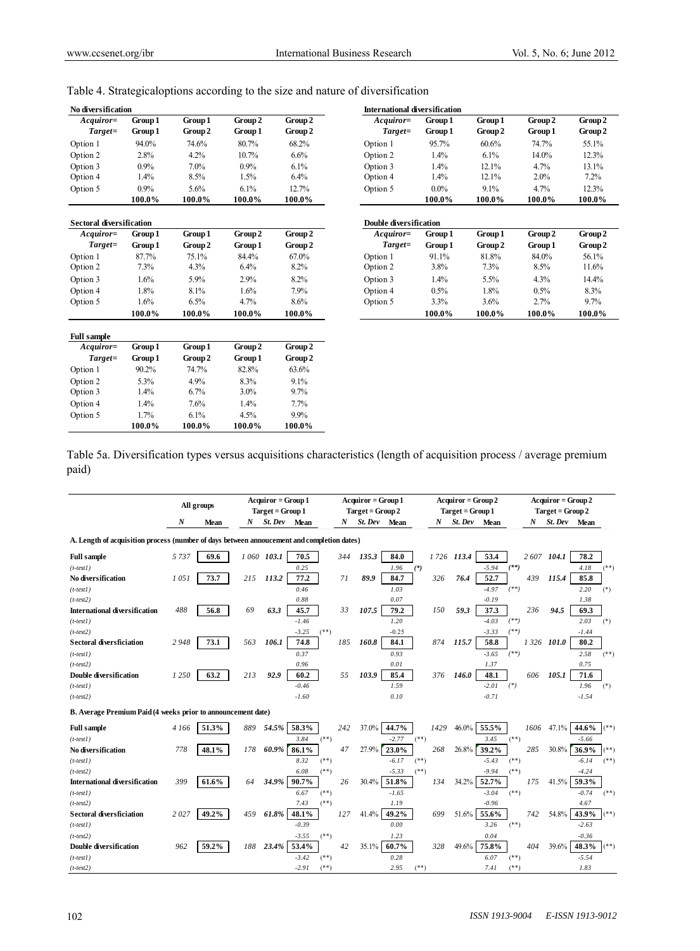**Sectoral diversification** 

| No diversification    |                    |                    |                    |                    | International diversification |                    |                    |                    |                                          |
|-----------------------|--------------------|--------------------|--------------------|--------------------|-------------------------------|--------------------|--------------------|--------------------|------------------------------------------|
| Acquire<br>$Target =$ | Group 1<br>Group 1 | Group 1<br>Group 2 | Group 2<br>Group 1 | Group 2<br>Group 2 | $Acauiror =$<br>$Target =$    | Group 1<br>Group 1 | Group 1<br>Group 2 | Group 2<br>Group 1 | Group <sub>2</sub><br>Group <sub>2</sub> |
| Option 1              | 94.0%              | 74.6%              | 80.7%              | 68.2%              | Option 1                      | 95.7%              | 60.6%              | 74.7%              | 55.1%                                    |
| Option 2              | 2.8%               | 4.2%               | 10.7%              | 6.6%               | Option 2                      | 1.4%               | 6.1%               | 14.0%              | 12.3%                                    |
| Option 3              | $0.9\%$            | $7.0\%$            | $0.9\%$            | 6.1%               | Option 3                      | 1.4%               | 12.1%              | 4.7%               | 13.1%                                    |
| Option 4              | $1.4\%$            | 8.5%               | 1.5%               | 6.4%               | Option 4                      | 1.4%               | 12.1%              | $2.0\%$            | $7.2\%$                                  |
| Option 5              | $0.9\%$            | 5.6%               | $6.1\%$            | 12.7%              | Option 5                      | $0.0\%$            | 9.1%               | 4.7%               | 12.3%                                    |
|                       | 100.0%             | 100.0%             | 100.0%             | 100.0%             |                               | 100.0%             | 100.0%             | 100.0%             | 100.0%                                   |

# Table 4. Strategicaloptions according to the size and nature of diversification

| Acquiror=          | Group 1 | Group 1 | Group 2 | Group 2 | Acquire    | Group 1 | Group 1 | Group 2 | <b>Group</b> |
|--------------------|---------|---------|---------|---------|------------|---------|---------|---------|--------------|
| $Target =$         | Group 1 | Group 2 | Group 1 | Group 2 | $Target =$ | Group 1 | Group 2 | Group 1 | <b>Group</b> |
| Option 1           | 87.7%   | 75.1%   | 84.4%   | 67.0%   | Option 1   | 91.1%   | 81.8%   | 84.0%   | 56.1%        |
| Option 2           | 7.3%    | 4.3%    | 6.4%    | 8.2%    | Option 2   | 3.8%    | 7.3%    | 8.5%    | 11.6%        |
| Option 3           | 1.6%    | 5.9%    | 2.9%    | 8.2%    | Option 3   | 1.4%    | 5.5%    | 4.3%    | 14.4%        |
| Option 4           | 1.8%    | 8.1%    | 1.6%    | 7.9%    | Option 4   | 0.5%    | 1.8%    | 0.5%    | 8.3%         |
| Option 5           | 1.6%    | 6.5%    | 4.7%    | 8.6%    | Option 5   | 3.3%    | $3.6\%$ | 2.7%    | 9.7%         |
|                    | 100.0%  | 100.0%  | 100.0%  | 100.0%  |            | 100.0%  | 100.0%  | 100.0%  | 100.0%       |
|                    |         |         |         |         |            |         |         |         |              |
| <b>Full sample</b> |         |         |         |         |            |         |         |         |              |
| Acquire            | Group 1 | Group 1 | Group 2 | Group 2 |            |         |         |         |              |
| $Target =$         | Group 1 | Group 2 | Group 1 | Group 2 |            |         |         |         |              |
| Option 1           | 90.2%   | 74.7%   | 82.8%   | 63.6%   |            |         |         |         |              |
| Option 2           | 5.3%    | 4.9%    | 8.3%    | 9.1%    |            |         |         |         |              |
| Option 3           | 1.4%    | 6.7%    | $3.0\%$ | 9.7%    |            |         |         |         |              |
| Option 4           | 1.4%    | 7.6%    | 1.4%    | 7.7%    |            |         |         |         |              |
| Option 5           | 1.7%    | 6.1%    | 4.5%    | 9.9%    |            |         |         |         |              |
|                    | 100.0%  | 100.0%  | 100.0%  | 100.0%  |            |         |         |         |              |

| <i>auiror=</i><br>Target= | Group 1<br>Group 1 | Group 1<br>Group 2 | Group 2<br>Group 1 | Group 2<br>Group 2 | Acquire<br>Target= | Group 1<br>Group 1 | Group 1<br>Group 2 | Group 2<br>Group 1 | Group 2<br>Group 2 |
|---------------------------|--------------------|--------------------|--------------------|--------------------|--------------------|--------------------|--------------------|--------------------|--------------------|
| n 1                       | 94.0%              | 74.6%              | 80.7%              | 68.2%              | Option 1           | 95.7%              | 60.6%              | 74.7%              | 55.1%              |
| n 2                       | 2.8%               | 4.2%               | 10.7%              | 6.6%               | Option 2           | $.4\%$             | 6.1%               | 14.0%              | 12.3%              |
| n 3                       | $0.9\%$            | 7.0%               | 0.9%               | $6.1\%$            | Option 3           | l.4%               | 12.1%              | 4.7%               | 13.1%              |
| n 4                       | $1.4\%$            | 8.5%               | 1.5%               | 6.4%               | Option 4           | 1.4%               | 12.1%              | $2.0\%$            | 7.2%               |
| n 5                       | $0.9\%$            | 5.6%               | 6.1%               | 12.7%              | Option 5           | $0.0\%$            | 9.1%               | 4.7%               | 12.3%              |
|                           | 100.0%             | 100.0%             | 100.0%             | 100.0%             |                    | 100.0%             | 100.0%             | 100.0%             | 100.0%             |
|                           |                    |                    |                    |                    |                    |                    |                    |                    |                    |

| ctoral diversification |               |               |               |               | Double diversification |               |               |               |                |
|------------------------|---------------|---------------|---------------|---------------|------------------------|---------------|---------------|---------------|----------------|
| Acquiror=              | Group 1       | Group 1       | Group 2       | Group 2       | Acquiror=              | Group 1       | Group 1       | Group 2       | Group 2        |
| $Target =$             | Group 1       | Group 2       | Group 1       | Group 2       | Target=                | Group 1       | Group 2       | Group 1       | Group 2        |
| tion 1<br>tion 2       | 87.7%<br>7.3% | 75.1%<br>4.3% | 84.4%<br>6.4% | 67.0%<br>8.2% | Option 1<br>Option 2   | 91.1%<br>3.8% | 81.8%<br>7.3% | 84.0%<br>8.5% | 56.1%<br>11.6% |
| tion 3                 | .6%           | 5.9%          | 2.9%          | 8.2%          | Option 3               | 1.4%          | 5.5%          | 4.3%          | 14.4%          |
| tion 4                 | $.8\%$        | 8.1%          | 1.6%          | 7.9%          | Option 4               | 0.5%          | 1.8%          | 0.5%          | 8.3%           |
| tion 5                 | .6%           | 6.5%          | 4.7%          | 8.6%          | Option 5               | 3.3%          | 3.6%          | 2.7%          | 9.7%           |
|                        | 100.0%        | 100.0%        | 100.0%        | 100.0%        |                        | 100.0%        | 100.0%        | 100.0%        | 100.0%         |

Table 5a. Diversification types versus acquisitions characteristics (length of acquisition process / average premium paid)

|                                                                                            |       |            |     | $Acquiror = Group 1$ |                    |     | $Acquiror = Group 1$ |                   |      | $Acquiror = Group 2$ |         |         |      | $Acquiror = Group 2$ |         |         |
|--------------------------------------------------------------------------------------------|-------|------------|-----|----------------------|--------------------|-----|----------------------|-------------------|------|----------------------|---------|---------|------|----------------------|---------|---------|
|                                                                                            |       | All groups |     | Target = Group 1     |                    |     | $Target = Group 2$   |                   |      | Target = Group 1     |         |         |      | $Target = Group 2$   |         |         |
|                                                                                            | N     | Mean       | N   | St. Dev              | Mean               | N   | St. Dev              | Mean              | N    | St. Dev              | Mean    |         | N    | St. Dev              | Mean    |         |
| A. Length of acquisition process (number of days between annoucement and completion dates) |       |            |     |                      |                    |     |                      |                   |      |                      |         |         |      |                      |         |         |
| <b>Full sample</b>                                                                         | 5737  | 69.6       |     | 1 060 103.1          | 70.5               | 344 | 135.3                | 84.0              | 1726 | 113.4                | 53.4    |         | 2607 | 104.1                | 78.2    |         |
| $(t-test1)$                                                                                |       |            |     |                      | 0.25               |     |                      | $(*)$<br>1.96     |      |                      | $-5.94$ | $(**)$  |      |                      | 4.18    | $(**)$  |
| No diversification                                                                         | 1051  | 73.7       | 215 | 113.2                | 77.2               | 71  | 89.9                 | 84.7              | 326  | 76.4                 | 52.7    |         | 439  | 115.4                | 85.8    |         |
| $(t-test1)$                                                                                |       |            |     |                      | 0.46               |     |                      | 1.03              |      |                      | $-4.97$ | $($ **) |      |                      | 2.20    | $(*)$   |
| $(t-test2)$                                                                                |       |            |     |                      | 0.88               |     |                      | 0.07              |      |                      | $-0.19$ |         |      |                      | 1.38    |         |
| <b>International diversification</b>                                                       | 488   | 56.8       | 69  | 63.3                 | 45.7               | 33  | 107.5                | 79.2              | 150  | 59.3                 | 37.3    |         | 236  | 94.5                 | 69.3    |         |
| $(t-test1)$                                                                                |       |            |     |                      | $-1.46$            |     |                      | 1.20              |      |                      | $-4.03$ | $($ **) |      |                      | 2.03    | $(*)$   |
| $(t-test2)$                                                                                |       |            |     |                      | $-3.25$<br>$(**)$  |     |                      | $-0.25$           |      |                      | $-3.33$ | $($ **) |      |                      | $-1.44$ |         |
| <b>Sectoral diversficiation</b>                                                            | 2948  | 73.1       | 563 | 106.1                | 74.8               | 185 | 160.8                | 84.1              | 874  | 115.7                | 58.8    |         | 1326 | 101.0                | 80.2    |         |
| $(t-test1)$                                                                                |       |            |     |                      | 0.37               |     |                      | 0.93              |      |                      | $-3.65$ | $($ **) |      |                      | 2.58    | $(**)$  |
| $(t-test2)$                                                                                |       |            |     |                      | 0.96               |     |                      | 0.01              |      |                      | 1.37    |         |      |                      | 0.75    |         |
| <b>Double diversification</b>                                                              | 1250  | 63.2       | 213 | 92.9                 | 60.2               | 55  | 103.9                | 85.4              | 376  | 146.0                | 48.1    |         | 606  | 105.1                | 71.6    |         |
| $(t-test1)$                                                                                |       |            |     |                      | $-0.46$            |     |                      | 1.59              |      |                      | $-2.01$ | $(*)$   |      |                      | 1.96    | $(*)$   |
| $(t-test2)$                                                                                |       |            |     |                      | $-1.60$            |     |                      | 0.10              |      |                      | $-0.71$ |         |      |                      | $-1.54$ |         |
| B. Average Premium Paid (4 weeks prior to announcement date)                               |       |            |     |                      |                    |     |                      |                   |      |                      |         |         |      |                      |         |         |
| <b>Full sample</b>                                                                         | 4 166 | 51.3%      | 889 | 54.5%                | 58.3%              | 242 | 37.0%                | 44.7%             | 1429 | 46.0%                | 55.5%   |         | 1606 | 47.1%                | 44.6%   | $(***)$ |
| $(t-test1)$                                                                                |       |            |     |                      | 3.84<br>$(**)$     |     |                      | $(**)$<br>$-2.77$ |      |                      | 3.45    | $(**)$  |      |                      | $-5.66$ |         |
| No diversification                                                                         | 778   | 48.1%      | 178 | 60.9%                | 86.1%              | 47  | 27.9%                | 23.0%             | 268  | 26.8%                | 39.2%   |         | 285  | 30.8%                | 36.9%   | $(***$  |
| $(t-test1)$                                                                                |       |            |     |                      | $(**)$<br>8.32     |     |                      | $-6.17$<br>$(**)$ |      |                      | $-5.43$ | $(**)$  |      |                      | $-6.14$ | $(***)$ |
| $(t-test2)$                                                                                |       |            |     |                      | $(**)$<br>6.08     |     |                      | $(**)$<br>$-5.33$ |      |                      | $-9.94$ | $(***)$ |      |                      | $-4.24$ |         |
| <b>International diversification</b>                                                       | 399   | 61.6%      | 64  | 34.9%                | 90.7%              | 26  | 30.4%                | 51.8%             | 134  | 34.2%                | 52.7%   |         | 175  | 41.5%                | 59.3%   |         |
| $(t-test1)$                                                                                |       |            |     |                      | $(**)$<br>6.67     |     |                      | $-1.65$           |      |                      | $-3.04$ | $(**)$  |      |                      | $-0.74$ | $(***)$ |
| $(t-test2)$                                                                                |       |            |     |                      | $(**)$<br>7.43     |     |                      | 1.19              |      |                      | $-0.96$ |         |      |                      | 4.67    |         |
| <b>Sectoral diversficiation</b>                                                            | 2027  | 49.2%      | 459 | 61.8%                | 48.1%              | 127 | 41.4%                | 49.2%             | 699  | 51.6%                | 55.6%   |         | 742  | 54.8%                | 43.9%   | $(***)$ |
| $(t-test1)$                                                                                |       |            |     |                      | $-0.39$            |     |                      | 0.00              |      |                      | 3.26    | $(**)$  |      |                      | $-2.63$ |         |
| $(t-test2)$                                                                                |       |            |     |                      | $(**)$<br>$-3.55$  |     |                      | 1.23              |      |                      | 0.04    |         |      |                      | $-0.36$ |         |
| <b>Double diversification</b>                                                              | 962   | 59.2%      | 188 | 23.4%                | 53.4%              | 42  | 35.1%                | 60.7%             | 328  | 49.6%                | 75.8%   |         | 404  | 39.6%                | 48.3%   | $(***)$ |
| $(t-test1)$                                                                                |       |            |     |                      | $(***)$<br>$-3.42$ |     |                      | 0.28              |      |                      | 6.07    | $(**)$  |      |                      | $-5.54$ |         |
| $(t-test2)$                                                                                |       |            |     |                      | $-2.91$<br>$(**)$  |     |                      | 2.95<br>$(**)$    |      |                      | 7.41    | $(**)$  |      |                      | 1.83    |         |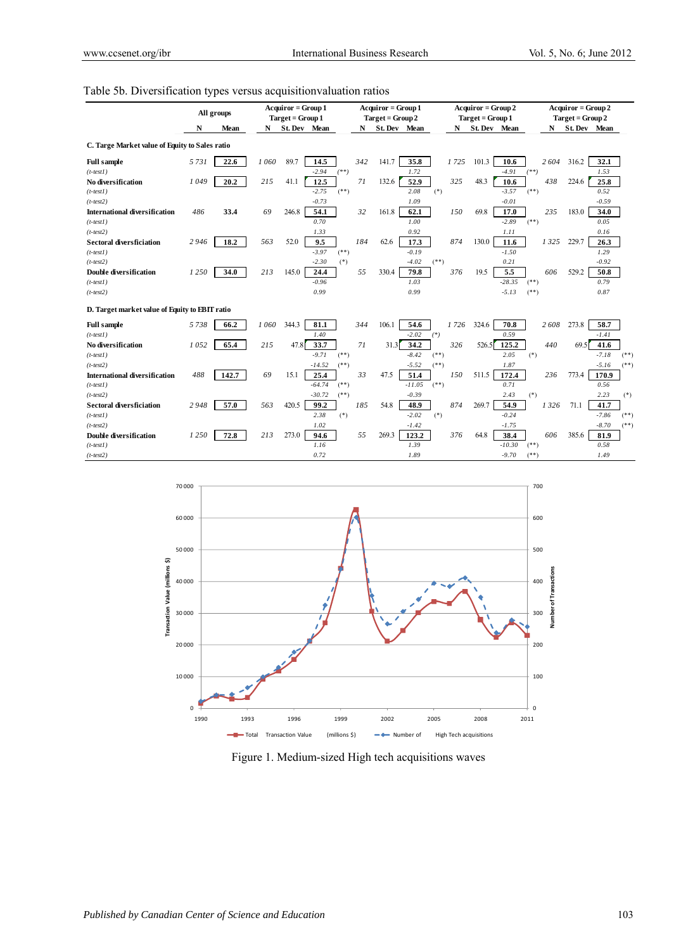# Table 5b. Diversification types versus acquisitionvaluation ratios

|                                                |      | All groups |      | $Acquiror = Group 1$ |                              |     | $Acquiror = Group 1$ |                     |        |      | $Acquiror = Group 2$ |                    |         |      | $Acquiror = Group 2$ |                 |        |
|------------------------------------------------|------|------------|------|----------------------|------------------------------|-----|----------------------|---------------------|--------|------|----------------------|--------------------|---------|------|----------------------|-----------------|--------|
|                                                |      |            |      | Target = Group 1     |                              |     | Target = Group 2     |                     |        |      | Target = Group 1     |                    |         |      | $Target = Group 2$   |                 |        |
|                                                | N    | Mean       | N    | St. Dev Mean         |                              | N   | St. Dev Mean         |                     |        | N    | St. Dev Mean         |                    |         | N    | St. Dev Mean         |                 |        |
| C. Targe Market value of Equity to Sales ratio |      |            |      |                      |                              |     |                      |                     |        |      |                      |                    |         |      |                      |                 |        |
| <b>Full sample</b>                             | 5731 | 22.6       | 1060 | 89.7                 | 14.5                         | 342 | 141.7                | 35.8                |        | 1725 | 101.3                | 10.6               |         | 2604 | 316.2                | 32.1            |        |
| $(t-test1)$                                    |      |            |      |                      | $-2.94$<br>$(***)$           |     |                      | 1.72                |        |      |                      | $-4.91$            | $($ **) |      |                      | 1.53            |        |
| No diversification                             | 1049 | 20.2       | 215  | 41.1                 | 12.5                         | 71  | 132.6                | 52.9                |        | 325  | 48.3                 | 10.6               |         | 438  | 224.6                | 25.8            |        |
| $(t$ -test $l$ )<br>$(t-test2)$                |      |            |      |                      | $-2.75$<br>$(**)$<br>$-0.73$ |     |                      | 2.08<br>1.09        | $(*)$  |      |                      | $-3.57$<br>$-0.01$ | $(**)$  |      |                      | 0.52<br>$-0.59$ |        |
| <b>International diversification</b>           | 486  | 33.4       | 69   | 246.8                | 54.1                         | 32  | 161.8                | 62.1                |        | 150  | 69.8                 | 17.0               |         | 235  | 183.0                | 34.0            |        |
| $(t-test]$                                     |      |            |      |                      | 0.70                         |     |                      | 1.00                |        |      |                      | $-2.89$            | $(**)$  |      |                      | 0.05            |        |
| $(t-test2)$                                    |      |            |      |                      | 1.33                         |     |                      | 0.92                |        |      |                      | 1.11               |         |      |                      | 0.16            |        |
| <b>Sectoral diversficiation</b>                | 2946 | 18.2       | 563  | 52.0                 | 9.5                          | 184 | 62.6                 | 17.3                |        | 874  | 130.0                | 11.6               |         | 1325 | 229.7                | 26.3            |        |
| $(t-test]$                                     |      |            |      |                      | $-3.97$<br>$(**)$            |     |                      | $-0.19$             |        |      |                      | $-1.50$            |         |      |                      | 1.29            |        |
| $(t-test2)$                                    |      |            |      |                      | $-2.30$<br>$(*)$             |     |                      | $-4.02$             | $(**)$ |      |                      | 0.21               |         |      |                      | $-0.92$         |        |
| <b>Double diversification</b>                  | 1250 | 34.0       | 213  | 145.0                | 24.4                         | 55  | 330.4                | 79.8                |        | 376  | 19.5                 | 5.5                |         | 606  | 529.2                | 50.8            |        |
| $(t-test1)$                                    |      |            |      |                      | $-0.96$                      |     |                      | 1.03                |        |      |                      | $-28.35$           | $(**)$  |      |                      | 0.79            |        |
| $(t-test2)$                                    |      |            |      |                      | 0.99                         |     |                      | 0.99                |        |      |                      | $-5.13$            | $(**)$  |      |                      | 0.87            |        |
| D. Target market value of Equity to EBIT ratio |      |            |      |                      |                              |     |                      |                     |        |      |                      |                    |         |      |                      |                 |        |
| <b>Full sample</b>                             | 5738 | 66.2       | 1060 | 344.3                | 81.1                         | 344 | 106.1                | 54.6                |        | 1726 | 324.6                | 70.8               |         | 2608 | 273.8                | 58.7            |        |
| $(t-test)$                                     |      |            |      |                      | 1.40                         |     |                      | $-2.02$             | $(*)$  |      |                      | 0.59               |         |      |                      | -1.41           |        |
| No diversification                             | 1052 | 65.4       | 215  | 47.8                 | 33.7                         | 71  | 31.3                 | 34.2                |        | 326  | 526.5                | 125.2              |         | 440  | 69.5                 | 41.6            |        |
| $(t-test]$                                     |      |            |      |                      | $-9.71$<br>$(**)$            |     |                      | $-8.42$             | $(**)$ |      |                      | 2.05               | $(*)$   |      |                      | $-7.18$         | $(**)$ |
| $(t-test2)$                                    |      |            |      |                      | $-14.52$<br>$(**)$           |     |                      | $-5.52$             | $(**)$ |      |                      | 1.87               |         |      |                      | $-5.16$         | $(**)$ |
| <b>International diversification</b>           | 488  | 142.7      | 69   | 15.1                 | 25.4                         | 33  | 47.5                 | 51.4                |        | 150  | 511.5                | 172.4              |         | 236  | 773.4                | 170.9           |        |
| $(t-test]$                                     |      |            |      |                      | $-64.74$<br>$(**)$<br>$(**)$ |     |                      | $-11.05$<br>$-0.39$ | $(**)$ |      |                      | 0.71               | $(*)$   |      |                      | 0.56<br>2.23    |        |
| $(t-test2)$<br><b>Sectoral diversficiation</b> | 2948 | 57.0       | 563  | 420.5                | $-30.72$<br>99.2             | 185 | 54.8                 | 48.9                |        | 874  | 269.7                | 2.43<br>54.9       |         | 1326 | 71.1                 | 41.7            | $(*)$  |
| $(t-test]$                                     |      |            |      |                      | 2.38<br>$(*)$                |     |                      | $-2.02$             | $(*)$  |      |                      | $-0.24$            |         |      |                      | $-7.86$         | $(**)$ |
| $(t-test2)$                                    |      |            |      |                      | 1.02                         |     |                      | $-1.42$             |        |      |                      | $-1.75$            |         |      |                      | $-8.70$         | $(**)$ |
| <b>Double diversification</b>                  | 1250 | 72.8       | 213  | 273.0                | 94.6                         | 55  | 269.3                | 123.2               |        | 376  | 64.8                 | 38.4               |         | 606  | 385.6                | 81.9            |        |
| $(t-test)$                                     |      |            |      |                      | 1.16                         |     |                      | 1.39                |        |      |                      | $-10.30$           | $(**)$  |      |                      | 0.58            |        |
| $(t-test2)$                                    |      |            |      |                      | 0.72                         |     |                      | 1.89                |        |      |                      | $-9.70$            | $(***)$ |      |                      | 1.49            |        |
|                                                |      |            |      |                      |                              |     |                      |                     |        |      |                      |                    |         |      |                      |                 |        |



Figure 1. Medium-sized High tech acquisitions waves